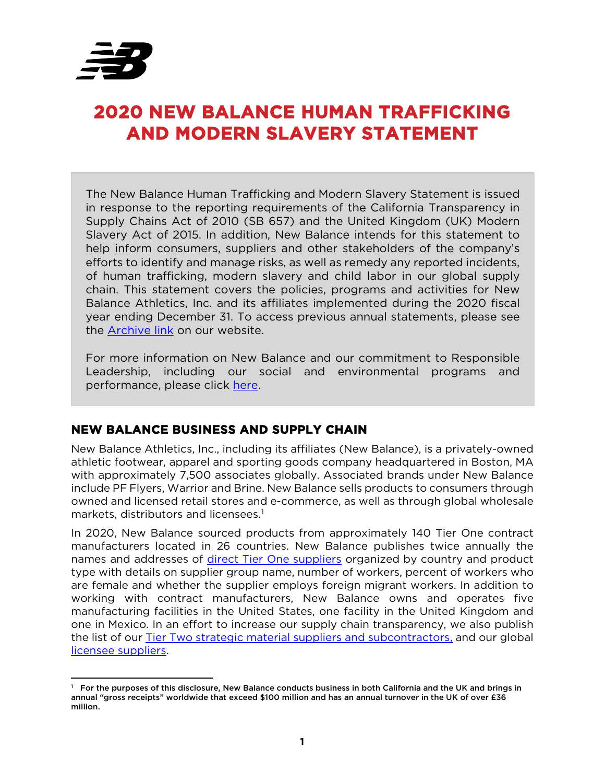

# **2020 NEW BALANCE HUMAN TRAFFICKING AND MODERN SLAVERY STATEMENT**

The New Balance Human Trafficking and Modern Slavery Statement is issued in response to the reporting requirements of the California Transparency in Supply Chains Act of 2010 (SB 657) and the United Kingdom (UK) Modern Slavery Act of 2015. In addition, New Balance intends for this statement to help inform consumers, suppliers and other stakeholders of the company's efforts to identify and manage risks, as well as remedy any reported incidents, of human trafficking, modern slavery and child labor in our global supply chain. This statement covers the policies, programs and activities for New Balance Athletics, Inc. and its affiliates implemented during the 2020 fiscal year ending December 31. To access previous annual statements, please see the [Archive link](https://www.newbalance.com/responsible-leadership/archive.html) on our website.

For more information on New Balance and our commitment to Responsible Leadership, including our social and environmental programs and performance, please click [here.](https://www.newbalance.com/id/responsible-leadership.html)

## **NEW BALANCE BUSINESS AND SUPPLY CHAIN**

New Balance Athletics, Inc., including its affiliates (New Balance), is a privately-owned athletic footwear, apparel and sporting goods company headquartered in Boston, MA with approximately 7,500 associates globally. Associated brands under New Balance include PF Flyers, Warrior and Brine. New Balance sells products to consumers through owned and licensed retail stores and e-commerce, as well as through global wholesale markets, distributors and licensees.<sup>[1](#page-0-0)</sup>

In 2020, New Balance sourced products from approximately 140 Tier One contract manufacturers located in 26 countries. New Balance publishes twice annually the names and addresses of [direct Tier One suppliers](https://www.newbalance.com/on/demandware.static/-/Library-Sites-NBUS-NBCA/default/dwf93d8f0a/pdf/NB_Tier_1_Supplier_List_Feb_2021.xlsx) organized by country and product type with details on supplier group name, number of workers, percent of workers who are female and whether the supplier employs foreign migrant workers. In addition to working with contract manufacturers, New Balance owns and operates five manufacturing facilities in the United States, one facility in the United Kingdom and one in Mexico. In an effort to increase our supply chain transparency, we also publish the list of our **Tier Two strategic material suppliers and subcontractors**, and our global [licensee suppliers.](https://www.newbalance.com/on/demandware.static/-/Library-Sites-NBUS-NBCA/default/dw58e7edfb/pdf/NB_Licensee_Supplier_List_Feb_2021.xlsx)

<span id="page-0-0"></span><sup>1</sup> For the purposes of this disclosure, New Balance conducts business in both California and the UK and brings in annual "gross receipts" worldwide that exceed \$100 million and has an annual turnover in the UK of over £36 million.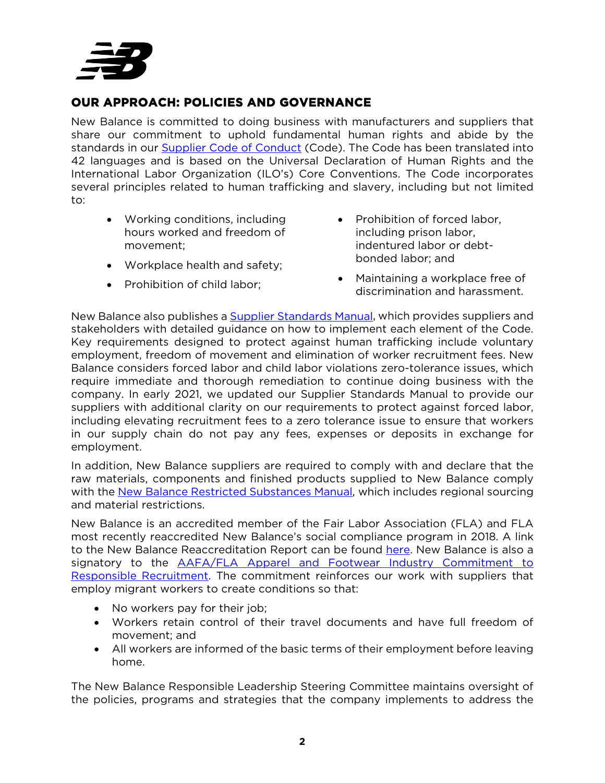

# **OUR APPROACH: POLICIES AND GOVERNANCE**

New Balance is committed to doing business with manufacturers and suppliers that share our commitment to uphold fundamental human rights and abide by the standards in our [Supplier Code of Conduct](https://www.newbalance.com/on/demandware.static/-/Sites-newbalance_us2-Library/default/dwa9f39018/pdf/NB_Code_of_Conduct_2018.pdf) (Code). The Code has been translated into 42 languages and is based on the Universal Declaration of Human Rights and the International Labor Organization (ILO's) Core Conventions. The Code incorporates several principles related to human trafficking and slavery, including but not limited to:

- Working conditions, including hours worked and freedom of movement;
- Workplace health and safety;
- Prohibition of child labor:
- Prohibition of forced labor, including prison labor, indentured labor or debtbonded labor; and
- Maintaining a workplace free of discrimination and harassment.

New Balance also publishes a [Supplier Standards Manual,](https://www.newbalance.com/on/demandware.static/-/Library-Sites-NBUS-NBCA/default/dw06cdb383/pdf/New_Balance_Standards_%20Manual_2021_V4.pdf) which provides suppliers and stakeholders with detailed guidance on how to implement each element of the Code. Key requirements designed to protect against human trafficking include voluntary employment, freedom of movement and elimination of worker recruitment fees. New Balance considers forced labor and child labor violations zero-tolerance issues, which require immediate and thorough remediation to continue doing business with the company. In early 2021, we updated our Supplier Standards Manual to provide our suppliers with additional clarity on our requirements to protect against forced labor, including elevating recruitment fees to a zero tolerance issue to ensure that workers in our supply chain do not pay any fees, expenses or deposits in exchange for employment.

In addition, New Balance suppliers are required to comply with and declare that the raw materials, components and finished products supplied to New Balance comply with the [New Balance Restricted Substances Manual,](https://www.newbalance.com/on/demandware.static/-/Library-Sites-NBUS-NBCA/default/dwbd4f055e/pdf/NB_RSM_2021.pdf) which includes regional sourcing and material restrictions.

New Balance is an accredited member of the Fair Labor Association (FLA) and FLA most recently reaccredited New Balance's social compliance program in 2018. A link to the New Balance Reaccreditation Report can be found [here.](http://www.fairlabor.org/sites/default/files/documents/reports/new_balance_reaccreditation_report_public_edits_final.docx_.pdf) New Balance is also a signatory to the **AAFA/FLA Apparel and Footwear Industry Commitment to** [Responsible Recruitment.](https://www.aafaglobal.org/AAFA/Solutions_Pages/Commitment_to_Responsible_Recruitment) The commitment reinforces our work with suppliers that employ migrant workers to create conditions so that:

- No workers pay for their job;
- Workers retain control of their travel documents and have full freedom of movement; and
- All workers are informed of the basic terms of their employment before leaving home.

The New Balance Responsible Leadership Steering Committee maintains oversight of the policies, programs and strategies that the company implements to address the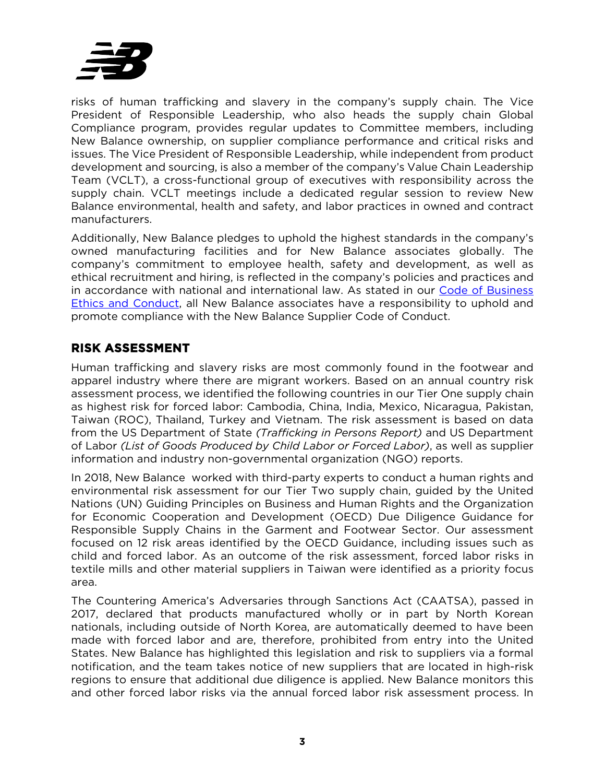

risks of human trafficking and slavery in the company's supply chain. The Vice President of Responsible Leadership, who also heads the supply chain Global Compliance program, provides regular updates to Committee members, including New Balance ownership, on supplier compliance performance and critical risks and issues. The Vice President of Responsible Leadership, while independent from product development and sourcing, is also a member of the company's Value Chain Leadership Team (VCLT), a cross-functional group of executives with responsibility across the supply chain. VCLT meetings include a dedicated regular session to review New Balance environmental, health and safety, and labor practices in owned and contract manufacturers.

Additionally, New Balance pledges to uphold the highest standards in the company's owned manufacturing facilities and for New Balance associates globally. The company's commitment to employee health, safety and development, as well as ethical recruitment and hiring, is reflected in the company's policies and practices and in accordance with national and international law. As stated in our [Code of Business](https://www.newbalance.com/on/demandware.static/-/Sites-newbalance_us2-Library/default/dw70c4e1b7/pdf/NB_Code_of_Business_Ethics_&_Conduct_2018.pdf)  [Ethics and Conduct,](https://www.newbalance.com/on/demandware.static/-/Sites-newbalance_us2-Library/default/dw70c4e1b7/pdf/NB_Code_of_Business_Ethics_&_Conduct_2018.pdf) all New Balance associates have a responsibility to uphold and promote compliance with the New Balance Supplier Code of Conduct.

# **RISK ASSESSMENT**

Human trafficking and slavery risks are most commonly found in the footwear and apparel industry where there are migrant workers. Based on an annual country risk assessment process, we identified the following countries in our Tier One supply chain as highest risk for forced labor: Cambodia, China, India, Mexico, Nicaragua, Pakistan, Taiwan (ROC), Thailand, Turkey and Vietnam. The risk assessment is based on data from the US Department of State *(Trafficking in Persons Report)* and US Department of Labor *(List of Goods Produced by Child Labor or Forced Labor)*, as well as supplier information and industry non-governmental organization (NGO) reports.

In 2018, New Balance worked with third-party experts to conduct a human rights and environmental risk assessment for our Tier Two supply chain, guided by the United Nations (UN) Guiding Principles on Business and Human Rights and the Organization for Economic Cooperation and Development (OECD) Due Diligence Guidance for Responsible Supply Chains in the Garment and Footwear Sector. Our assessment focused on 12 risk areas identified by the OECD Guidance, including issues such as child and forced labor. As an outcome of the risk assessment, forced labor risks in textile mills and other material suppliers in Taiwan were identified as a priority focus area.

The Countering America's Adversaries through Sanctions Act (CAATSA), passed in 2017, declared that products manufactured wholly or in part by North Korean nationals, including outside of North Korea, are automatically deemed to have been made with forced labor and are, therefore, prohibited from entry into the United States. New Balance has highlighted this legislation and risk to suppliers via a formal notification, and the team takes notice of new suppliers that are located in high-risk regions to ensure that additional due diligence is applied. New Balance monitors this and other forced labor risks via the annual forced labor risk assessment process. In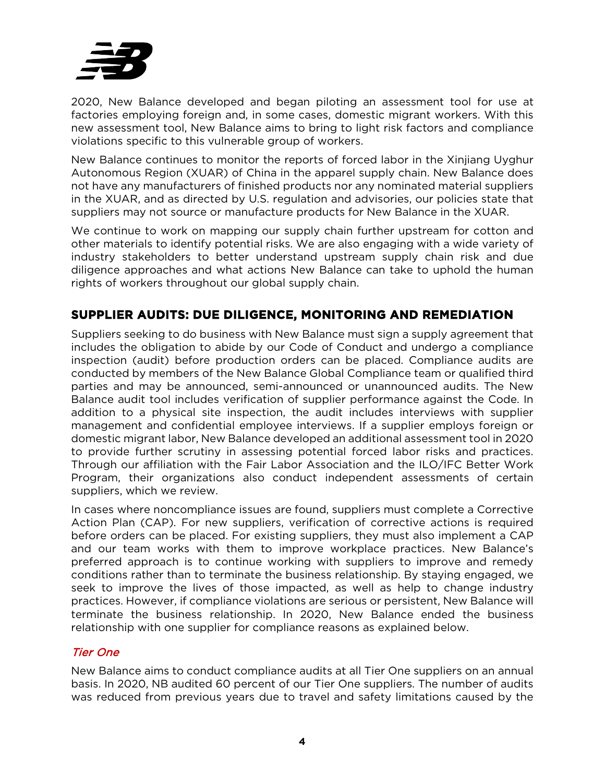

2020, New Balance developed and began piloting an assessment tool for use at factories employing foreign and, in some cases, domestic migrant workers. With this new assessment tool, New Balance aims to bring to light risk factors and compliance violations specific to this vulnerable group of workers.

New Balance continues to monitor the reports of forced labor in the Xinjiang Uyghur Autonomous Region (XUAR) of China in the apparel supply chain. New Balance does not have any manufacturers of finished products nor any nominated material suppliers in the XUAR, and as directed by U.S. regulation and advisories, our policies state that suppliers may not source or manufacture products for New Balance in the XUAR.

We continue to work on mapping our supply chain further upstream for cotton and other materials to identify potential risks. We are also engaging with a wide variety of industry stakeholders to better understand upstream supply chain risk and due diligence approaches and what actions New Balance can take to uphold the human rights of workers throughout our global supply chain.

# **SUPPLIER AUDITS: DUE DILIGENCE, MONITORING AND REMEDIATION**

Suppliers seeking to do business with New Balance must sign a supply agreement that includes the obligation to abide by our Code of Conduct and undergo a compliance inspection (audit) before production orders can be placed. Compliance audits are conducted by members of the New Balance Global Compliance team or qualified third parties and may be announced, semi-announced or unannounced audits. The New Balance audit tool includes verification of supplier performance against the Code. In addition to a physical site inspection, the audit includes interviews with supplier management and confidential employee interviews. If a supplier employs foreign or domestic migrant labor, New Balance developed an additional assessment tool in 2020 to provide further scrutiny in assessing potential forced labor risks and practices. Through our affiliation with the Fair Labor Association and the ILO/IFC Better Work Program, their organizations also conduct independent assessments of certain suppliers, which we review.

In cases where noncompliance issues are found, suppliers must complete a Corrective Action Plan (CAP). For new suppliers, verification of corrective actions is required before orders can be placed. For existing suppliers, they must also implement a CAP and our team works with them to improve workplace practices. New Balance's preferred approach is to continue working with suppliers to improve and remedy conditions rather than to terminate the business relationship. By staying engaged, we seek to improve the lives of those impacted, as well as help to change industry practices. However, if compliance violations are serious or persistent, New Balance will terminate the business relationship. In 2020, New Balance ended the business relationship with one supplier for compliance reasons as explained below.

## Tier One

New Balance aims to conduct compliance audits at all Tier One suppliers on an annual basis. In 2020, NB audited 60 percent of our Tier One suppliers. The number of audits was reduced from previous years due to travel and safety limitations caused by the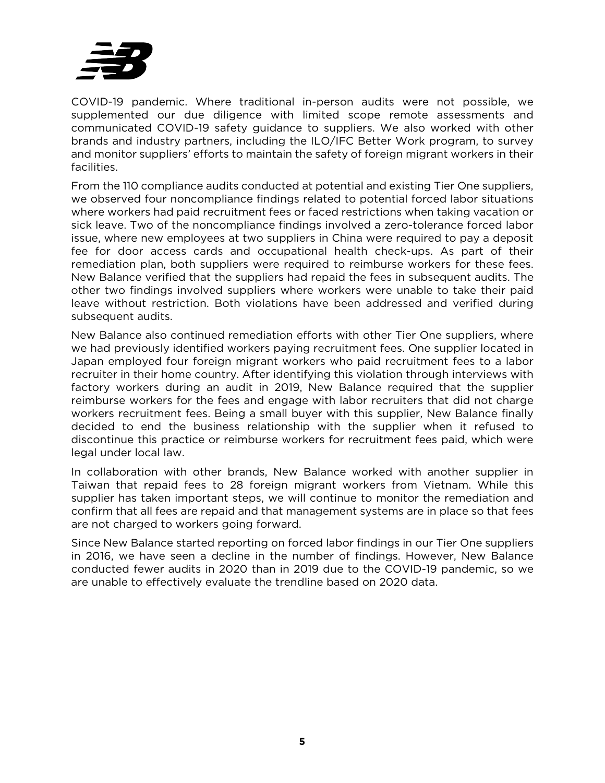

COVID-19 pandemic. Where traditional in-person audits were not possible, we supplemented our due diligence with limited scope remote assessments and communicated COVID-19 safety guidance to suppliers. We also worked with other brands and industry partners, including the ILO/IFC Better Work program, to survey and monitor suppliers' efforts to maintain the safety of foreign migrant workers in their facilities.

From the 110 compliance audits conducted at potential and existing Tier One suppliers, we observed four noncompliance findings related to potential forced labor situations where workers had paid recruitment fees or faced restrictions when taking vacation or sick leave. Two of the noncompliance findings involved a zero-tolerance forced labor issue, where new employees at two suppliers in China were required to pay a deposit fee for door access cards and occupational health check-ups. As part of their remediation plan, both suppliers were required to reimburse workers for these fees. New Balance verified that the suppliers had repaid the fees in subsequent audits. The other two findings involved suppliers where workers were unable to take their paid leave without restriction. Both violations have been addressed and verified during subsequent audits.

New Balance also continued remediation efforts with other Tier One suppliers, where we had previously identified workers paying recruitment fees. One supplier located in Japan employed four foreign migrant workers who paid recruitment fees to a labor recruiter in their home country. After identifying this violation through interviews with factory workers during an audit in 2019, New Balance required that the supplier reimburse workers for the fees and engage with labor recruiters that did not charge workers recruitment fees. Being a small buyer with this supplier, New Balance finally decided to end the business relationship with the supplier when it refused to discontinue this practice or reimburse workers for recruitment fees paid, which were legal under local law.

In collaboration with other brands, New Balance worked with another supplier in Taiwan that repaid fees to 28 foreign migrant workers from Vietnam. While this supplier has taken important steps, we will continue to monitor the remediation and confirm that all fees are repaid and that management systems are in place so that fees are not charged to workers going forward.

Since New Balance started reporting on forced labor findings in our Tier One suppliers in 2016, we have seen a decline in the number of findings. However, New Balance conducted fewer audits in 2020 than in 2019 due to the COVID-19 pandemic, so we are unable to effectively evaluate the trendline based on 2020 data.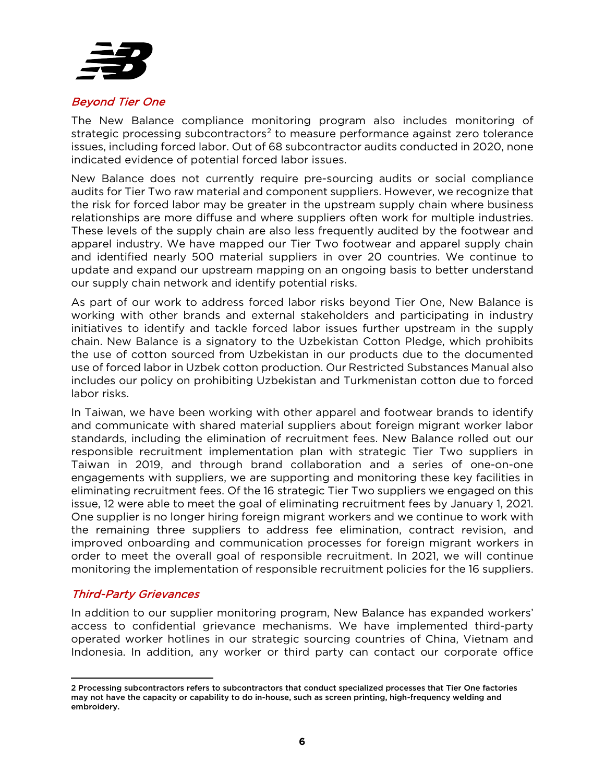

#### Beyond Tier One

The New Balance compliance monitoring program also includes monitoring of strategic processing subcontractors<sup>[2](#page-5-0)</sup> to measure performance against zero tolerance issues, including forced labor. Out of 68 subcontractor audits conducted in 2020, none indicated evidence of potential forced labor issues.

New Balance does not currently require pre-sourcing audits or social compliance audits for Tier Two raw material and component suppliers. However, we recognize that the risk for forced labor may be greater in the upstream supply chain where business relationships are more diffuse and where suppliers often work for multiple industries. These levels of the supply chain are also less frequently audited by the footwear and apparel industry. We have mapped our Tier Two footwear and apparel supply chain and identified nearly 500 material suppliers in over 20 countries. We continue to update and expand our upstream mapping on an ongoing basis to better understand our supply chain network and identify potential risks.

As part of our work to address forced labor risks beyond Tier One, New Balance is working with other brands and external stakeholders and participating in industry initiatives to identify and tackle forced labor issues further upstream in the supply chain. New Balance is a signatory to the Uzbekistan Cotton Pledge, which prohibits the use of cotton sourced from Uzbekistan in our products due to the documented use of forced labor in Uzbek cotton production. Our Restricted Substances Manual also includes our policy on prohibiting Uzbekistan and Turkmenistan cotton due to forced labor risks.

In Taiwan, we have been working with other apparel and footwear brands to identify and communicate with shared material suppliers about foreign migrant worker labor standards, including the elimination of recruitment fees. New Balance rolled out our responsible recruitment implementation plan with strategic Tier Two suppliers in Taiwan in 2019, and through brand collaboration and a series of one-on-one engagements with suppliers, we are supporting and monitoring these key facilities in eliminating recruitment fees. Of the 16 strategic Tier Two suppliers we engaged on this issue, 12 were able to meet the goal of eliminating recruitment fees by January 1, 2021. One supplier is no longer hiring foreign migrant workers and we continue to work with the remaining three suppliers to address fee elimination, contract revision, and improved onboarding and communication processes for foreign migrant workers in order to meet the overall goal of responsible recruitment. In 2021, we will continue monitoring the implementation of responsible recruitment policies for the 16 suppliers.

#### Third-Party Grievances

In addition to our supplier monitoring program, New Balance has expanded workers' access to confidential grievance mechanisms. We have implemented third-party operated worker hotlines in our strategic sourcing countries of China, Vietnam and Indonesia. In addition, any worker or third party can contact our corporate office

<span id="page-5-0"></span><sup>2</sup> Processing subcontractors refers to subcontractors that conduct specialized processes that Tier One factories may not have the capacity or capability to do in-house, such as screen printing, high-frequency welding and embroidery.